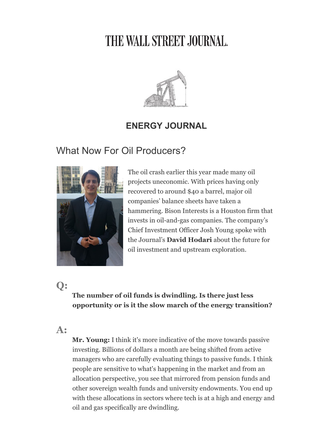# THE WALL STREET JOURNAL.



## **ENERGY JOURNAL**

# What Now For Oil Producers?



The oil crash earlier this year made many oil projects uneconomic. With prices having only recovered to around \$40 a barrel, major oil companies' balance sheets have taken a hammering. Bison Interests is a Houston firm that invests in oil-and-gas companies. The company's Chief Investment Officer Josh Young spoke with the Journal's **David Hodari** about the future for oil investment and upstream exploration.

## **Q:**

**The number of oil funds is dwindling. Is there just less opportunity or is it the slow march of the energy transition?**

## **A:**

**Mr. Young:** I think it's more indicative of the move towards passive investing. Billions of dollars a month are being shifted from active managers who are carefully evaluating things to passive funds. I think people are sensitive to what's happening in the market and from an allocation perspective, you see that mirrored from pension funds and other sovereign wealth funds and university endowments. You end up with these allocations in sectors where tech is at a high and energy and oil and gas specifically are dwindling.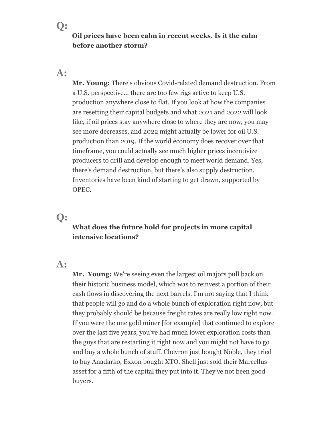**Oil prices have been calm in recent weeks. Is it the calm before another storm?**

#### **A:**

**Mr. Young:** There's obvious Covid-related demand destruction. From a U.S. perspective… there are too few rigs active to keep U.S. production anywhere close to flat. If you look at how the companies are resetting their capital budgets and what 2021 and 2022 will look like, if oil prices stay anywhere close to where they are now, you may see more decreases, and 2022 might actually be lower for oil U.S. production than 2019. If the world economy does recover over that timeframe, you could actually see much higher prices incentivize producers to drill and develop enough to meet world demand. Yes, there's demand destruction, but there's also supply destruction. Inventories have been kind of starting to get drawn, supported by OPEC.

### **Q:**

#### **What does the future hold for projects in more capital intensive locations?**

#### **A:**

**Mr. Young:** We're seeing even the largest oil majors pull back on their historic business model, which was to reinvest a portion of their cash flows in discovering the next barrels. I'm not saying that I think that people will go and do a whole bunch of exploration right now, but they probably should be because freight rates are really low right now. If you were the one gold miner [for example] that continued to explore over the last five years, you've had much lower exploration costs than the guys that are restarting it right now and you might not have to go and buy a whole bunch of stuff. Chevron just bought Noble, they tried to buy Anadarko, Exxon bought XTO. Shell just sold their Marcellus asset for a fifth of the capital they put into it. They've not been good buyers.

## **Q:**